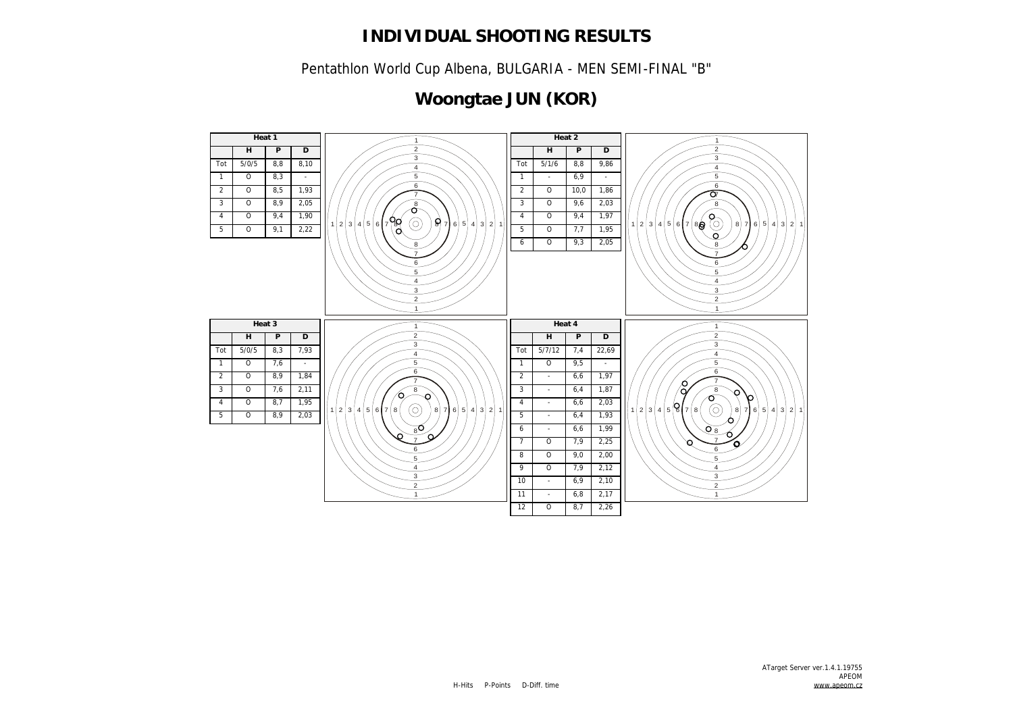Pentathlon World Cup Albena, BULGARIA - MEN SEMI-FINAL "B"

# **Woongtae JUN (KOR)**

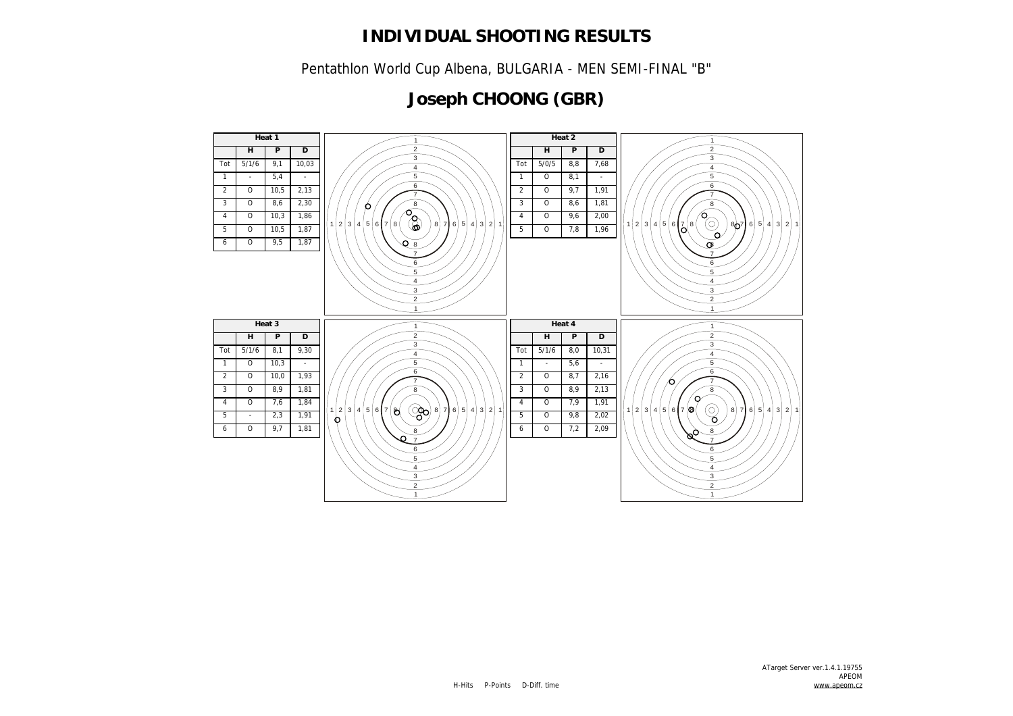Pentathlon World Cup Albena, BULGARIA - MEN SEMI-FINAL "B"

# **Joseph CHOONG (GBR)**

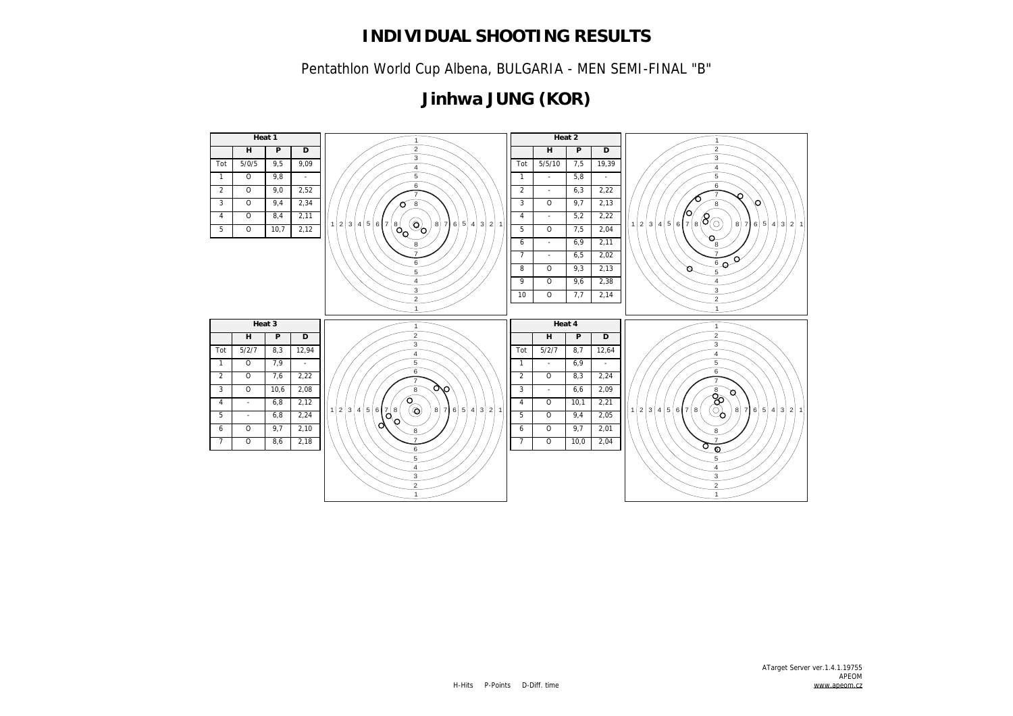Pentathlon World Cup Albena, BULGARIA - MEN SEMI-FINAL "B"

# **Jinhwa JUNG (KOR)**

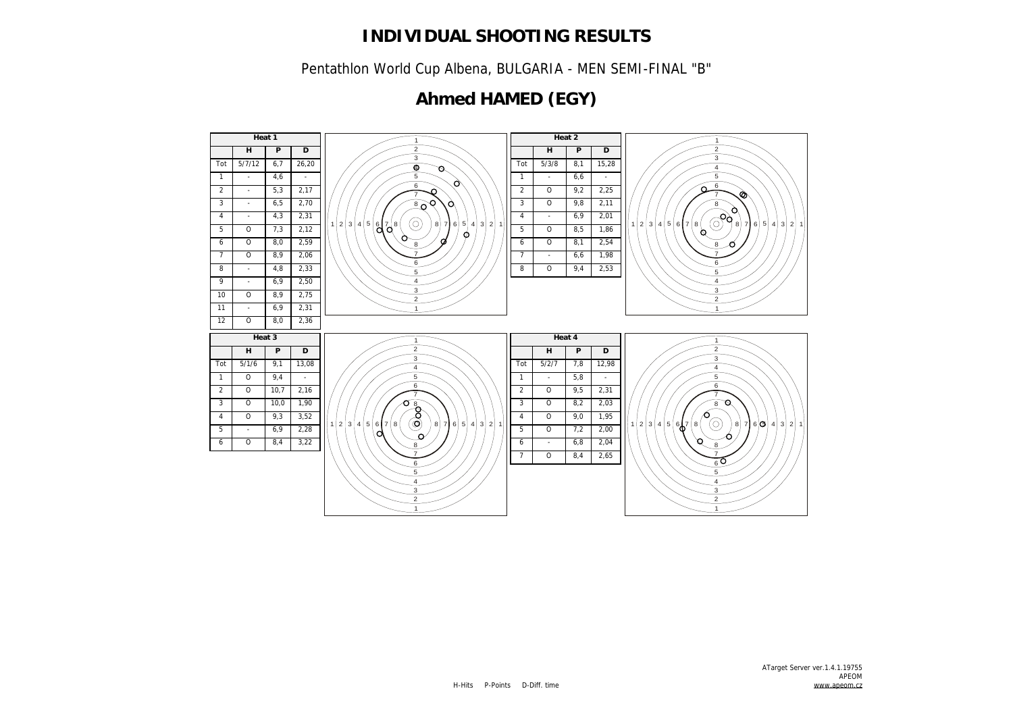Pentathlon World Cup Albena, BULGARIA - MEN SEMI-FINAL "B"

## **Ahmed HAMED (EGY)**

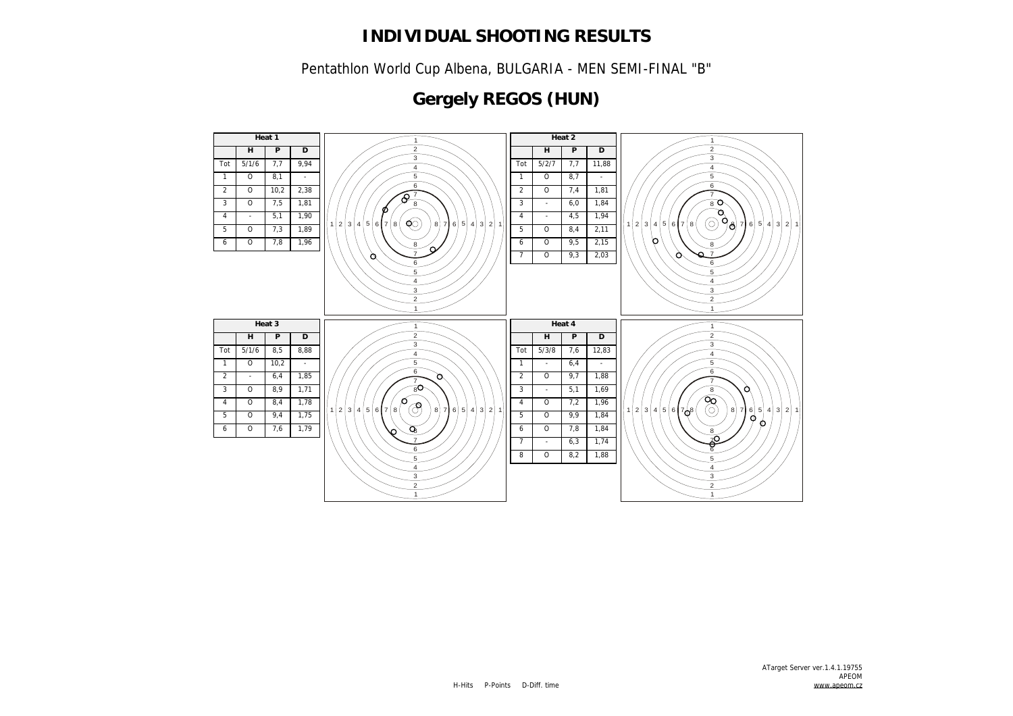Pentathlon World Cup Albena, BULGARIA - MEN SEMI-FINAL "B"

# **Gergely REGOS (HUN)**

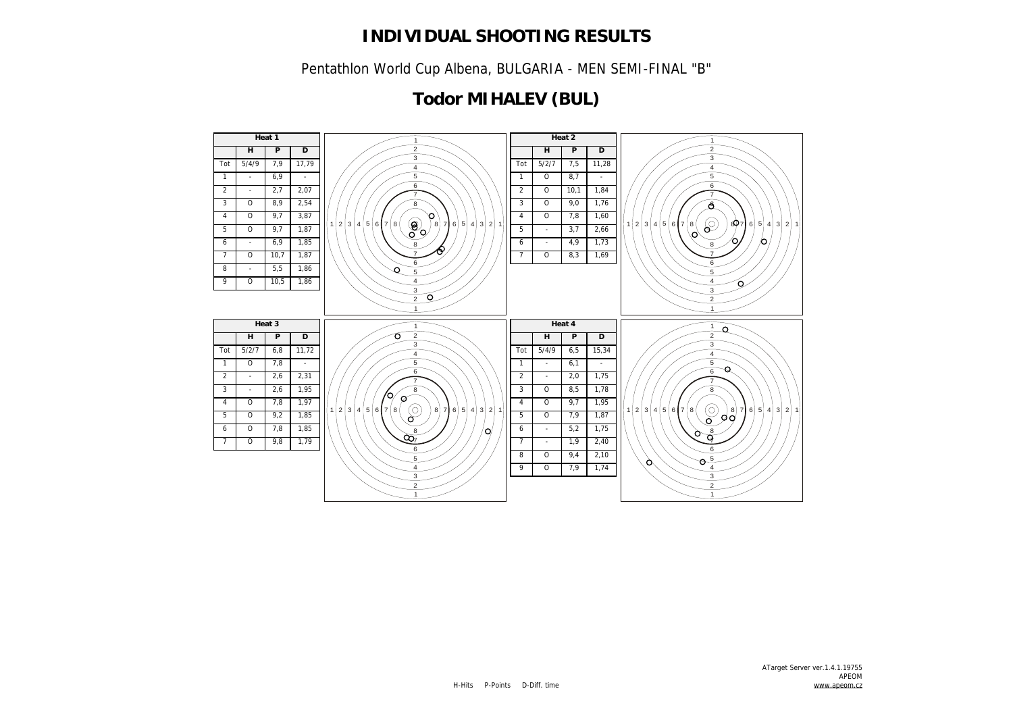Pentathlon World Cup Albena, BULGARIA - MEN SEMI-FINAL "B"

## **Todor MIHALEV (BUL)**

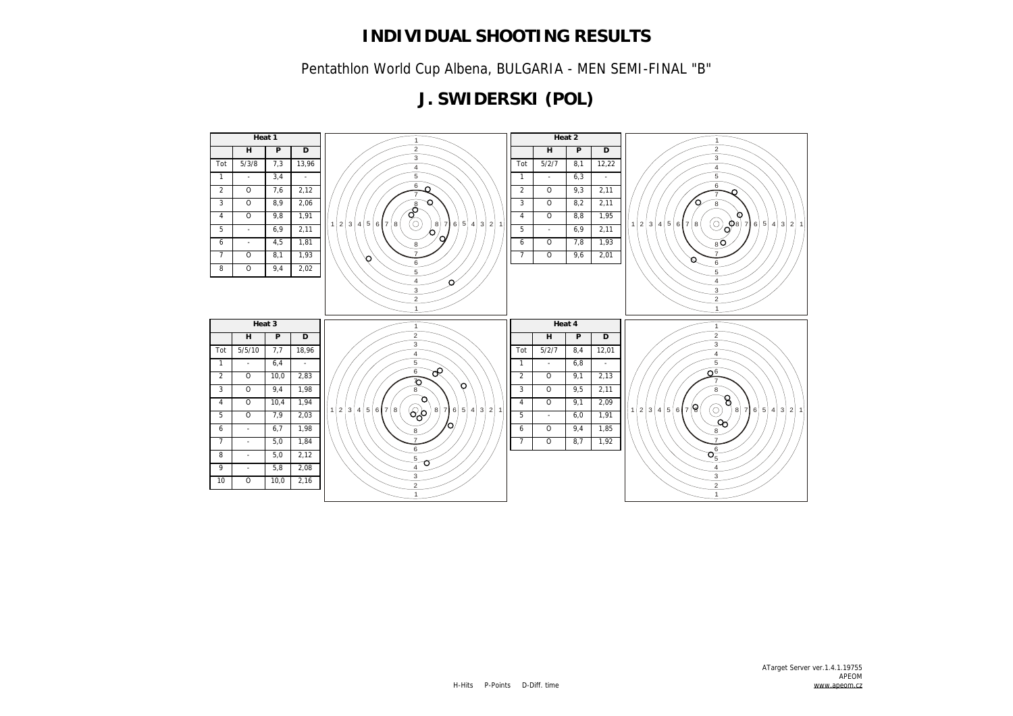Pentathlon World Cup Albena, BULGARIA - MEN SEMI-FINAL "B"

## **J. SWIDERSKI (POL)**

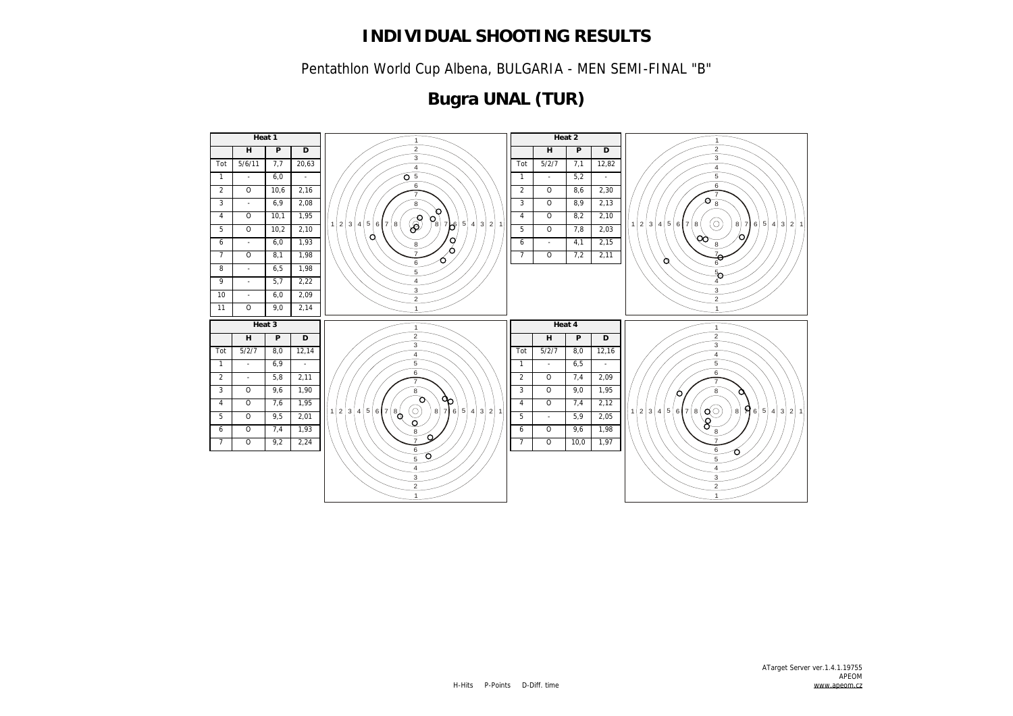Pentathlon World Cup Albena, BULGARIA - MEN SEMI-FINAL "B"

# **Bugra UNAL (TUR)**

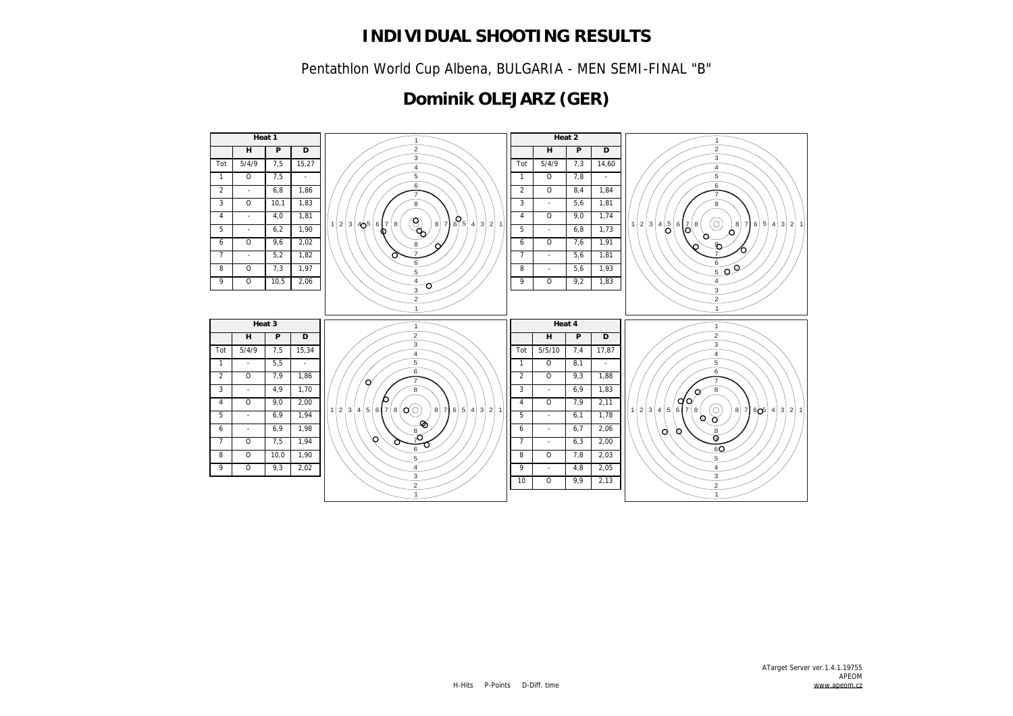Pentathlon World Cup Albena, BULGARIA - MEN SEMI-FINAL "B"

## **Dominik OLEJARZ (GER)**

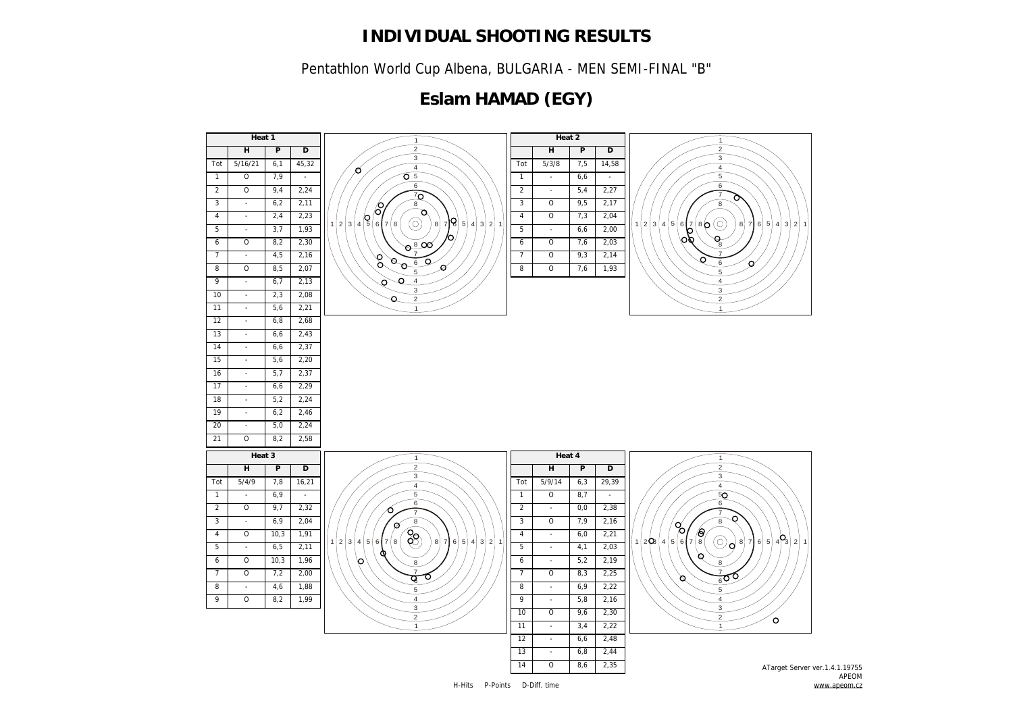Pentathlon World Cup Albena, BULGARIA - MEN SEMI-FINAL "B"

## **Eslam HAMAD (EGY)**

![](_page_9_Figure_3.jpeg)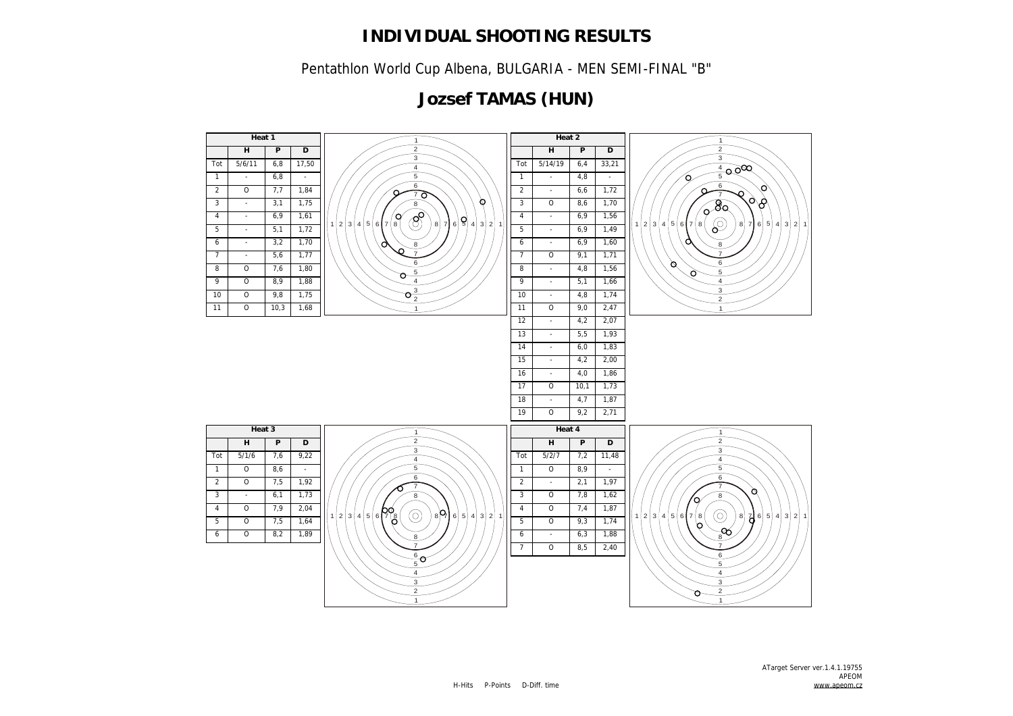Pentathlon World Cup Albena, BULGARIA - MEN SEMI-FINAL "B"

## **Jozsef TAMAS (HUN)**

![](_page_10_Figure_3.jpeg)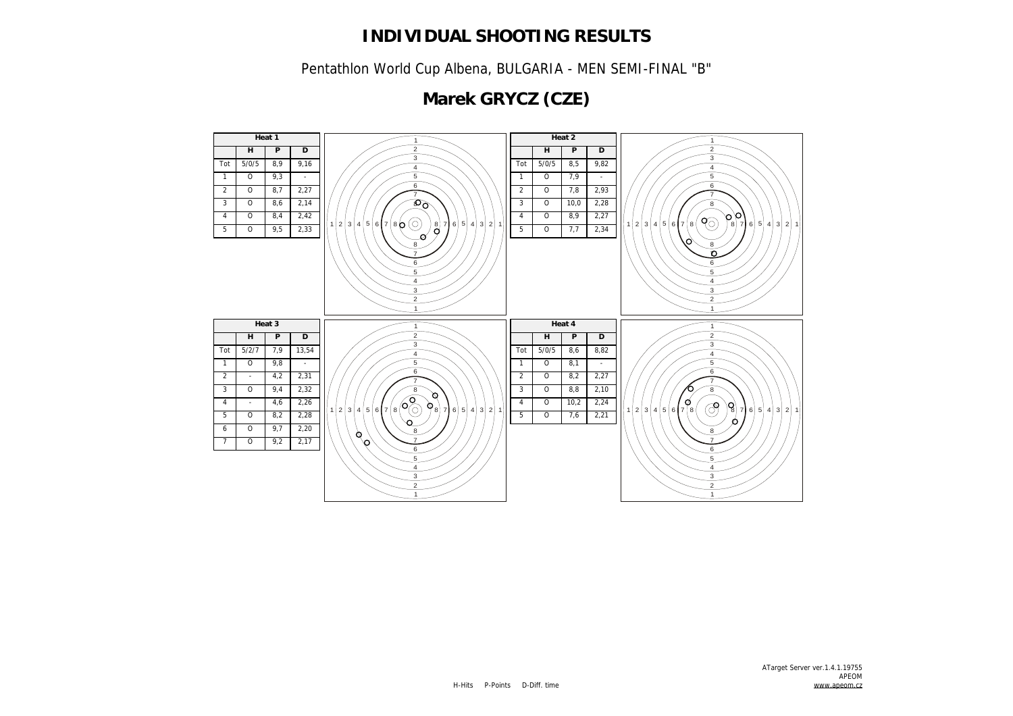Pentathlon World Cup Albena, BULGARIA - MEN SEMI-FINAL "B"

# **Marek GRYCZ (CZE)**

![](_page_11_Figure_3.jpeg)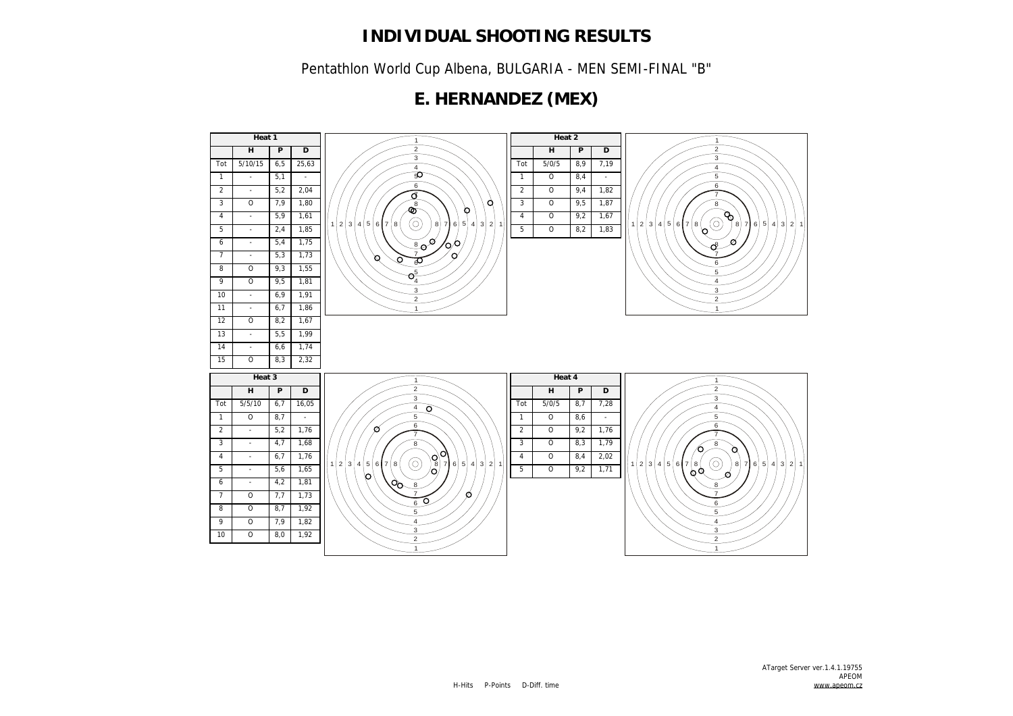Pentathlon World Cup Albena, BULGARIA - MEN SEMI-FINAL "B"

### **E. HERNANDEZ (MEX)**

![](_page_12_Figure_3.jpeg)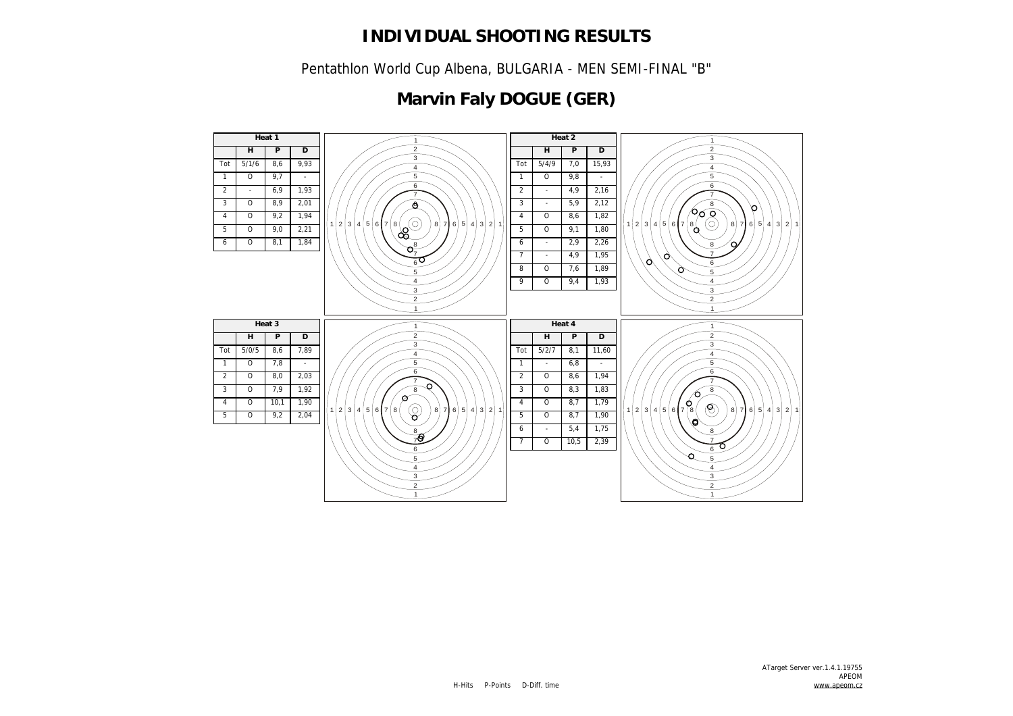Pentathlon World Cup Albena, BULGARIA - MEN SEMI-FINAL "B"

# **Marvin Faly DOGUE (GER)**

![](_page_13_Figure_3.jpeg)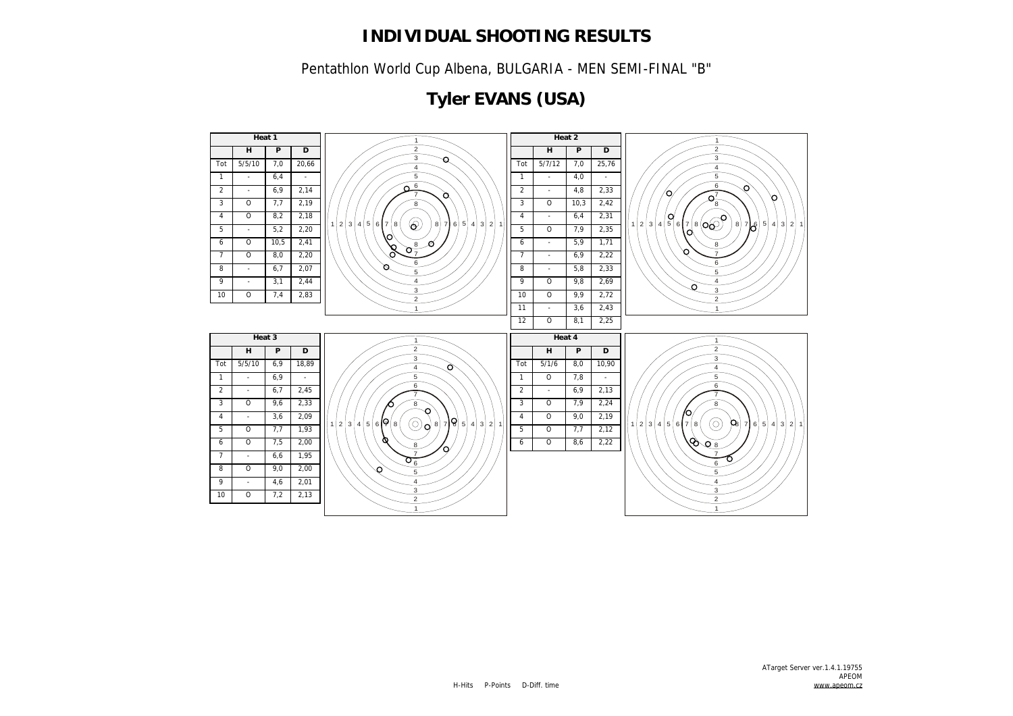Pentathlon World Cup Albena, BULGARIA - MEN SEMI-FINAL "B"

# **Tyler EVANS (USA)**

![](_page_14_Figure_3.jpeg)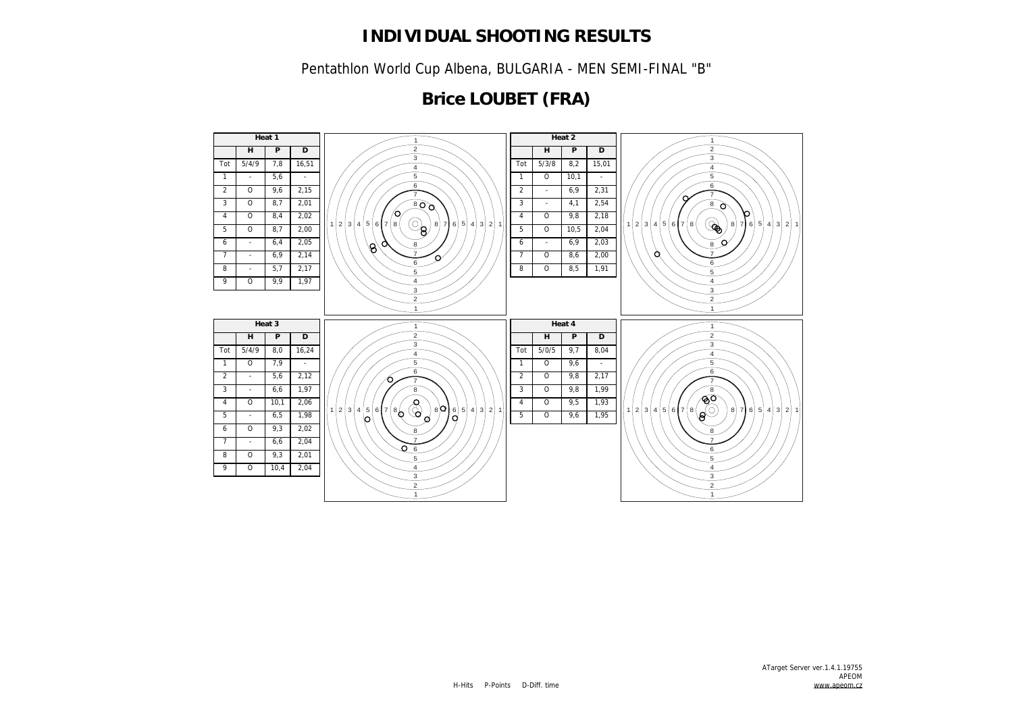Pentathlon World Cup Albena, BULGARIA - MEN SEMI-FINAL "B"

## **Brice LOUBET (FRA)**

![](_page_15_Figure_3.jpeg)